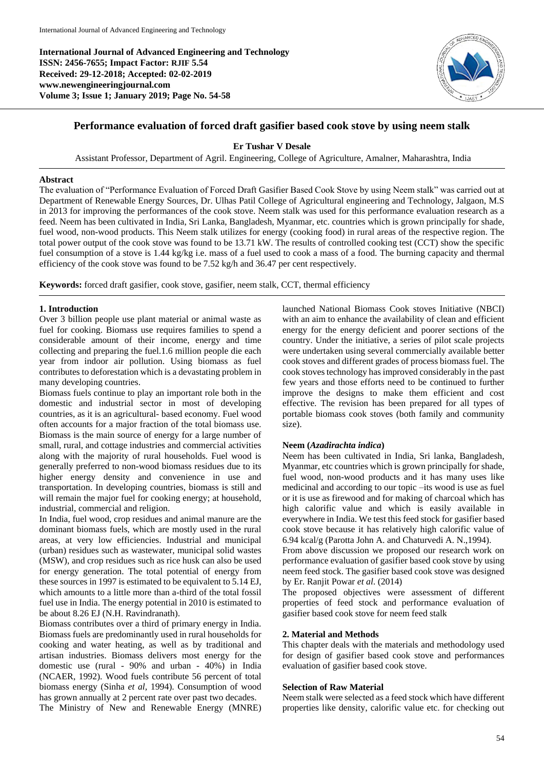**International Journal of Advanced Engineering and Technology ISSN: 2456-7655; Impact Factor: RJIF 5.54 Received: 29-12-2018; Accepted: 02-02-2019 www.newengineeringjournal.com Volume 3; Issue 1; January 2019; Page No. 54-58**



# **Performance evaluation of forced draft gasifier based cook stove by using neem stalk**

**Er Tushar V Desale**

Assistant Professor, Department of Agril. Engineering, College of Agriculture, Amalner, Maharashtra, India

## **Abstract**

The evaluation of "Performance Evaluation of Forced Draft Gasifier Based Cook Stove by using Neem stalk" was carried out at Department of Renewable Energy Sources, Dr. Ulhas Patil College of Agricultural engineering and Technology, Jalgaon, M.S in 2013 for improving the performances of the cook stove. Neem stalk was used for this performance evaluation research as a feed. Neem has been cultivated in India, Sri Lanka, Bangladesh, Myanmar, etc. countries which is grown principally for shade, fuel wood, non-wood products. This Neem stalk utilizes for energy (cooking food) in rural areas of the respective region. The total power output of the cook stove was found to be 13.71 kW. The results of controlled cooking test (CCT) show the specific fuel consumption of a stove is 1.44 kg/kg i.e. mass of a fuel used to cook a mass of a food. The burning capacity and thermal efficiency of the cook stove was found to be 7.52 kg/h and 36.47 per cent respectively.

**Keywords:** forced draft gasifier, cook stove, gasifier, neem stalk, CCT, thermal efficiency

## **1. Introduction**

Over 3 billion people use plant material or animal waste as fuel for cooking. Biomass use requires families to spend a considerable amount of their income, energy and time collecting and preparing the fuel.1.6 million people die each year from indoor air pollution. Using biomass as fuel contributes to deforestation which is a devastating problem in many developing countries.

Biomass fuels continue to play an important role both in the domestic and industrial sector in most of developing countries, as it is an agricultural- based economy. Fuel wood often accounts for a major fraction of the total biomass use. Biomass is the main source of energy for a large number of small, rural, and cottage industries and commercial activities along with the majority of rural households. Fuel wood is generally preferred to non-wood biomass residues due to its higher energy density and convenience in use and transportation. In developing countries, biomass is still and will remain the major fuel for cooking energy; at household, industrial, commercial and religion.

In India, fuel wood, crop residues and animal manure are the dominant biomass fuels, which are mostly used in the rural areas, at very low efficiencies. Industrial and municipal (urban) residues such as wastewater, municipal solid wastes (MSW), and crop residues such as rice husk can also be used for energy generation. The total potential of energy from these sources in 1997 is estimated to be equivalent to 5.14 EJ, which amounts to a little more than a-third of the total fossil fuel use in India. The energy potential in 2010 is estimated to be about 8.26 EJ (N.H. Ravindranath).

Biomass contributes over a third of primary energy in India. Biomass fuels are predominantly used in rural households for cooking and water heating, as well as by traditional and artisan industries. Biomass delivers most energy for the domestic use (rural - 90% and urban - 40%) in India (NCAER, 1992). Wood fuels contribute 56 percent of total biomass energy (Sinha *et al,* 1994). Consumption of wood has grown annually at 2 percent rate over past two decades. The Ministry of New and Renewable Energy (MNRE)

launched National Biomass Cook stoves Initiative (NBCI) with an aim to enhance the availability of clean and efficient energy for the energy deficient and poorer sections of the country. Under the initiative, a series of pilot scale projects were undertaken using several commercially available better cook stoves and different grades of process biomass fuel. The cook stoves technology has improved considerably in the past few years and those efforts need to be continued to further improve the designs to make them efficient and cost effective. The revision has been prepared for all types of portable biomass cook stoves (both family and community size).

### **Neem (***Azadirachta indica***)**

Neem has been cultivated in India, Sri lanka, Bangladesh, Myanmar, etc countries which is grown principally for shade. fuel wood, non-wood products and it has many uses like medicinal and according to our topic –its wood is use as fuel or it is use as firewood and for making of charcoal which has high calorific value and which is easily available in everywhere in India. We test this feed stock for gasifier based cook stove because it has relatively high calorific value of 6.94 kcal/g (Parotta John A. and Chaturvedi A. N.,1994).

From above discussion we proposed our research work on performance evaluation of gasifier based cook stove by using neem feed stock. The gasifier based cook stove was designed by Er. Ranjit Powar *et al*. (2014)

The proposed objectives were assessment of different properties of feed stock and performance evaluation of gasifier based cook stove for neem feed stalk

### **2. Material and Methods**

This chapter deals with the materials and methodology used for design of gasifier based cook stove and performances evaluation of gasifier based cook stove.

### **Selection of Raw Material**

Neem stalk were selected as a feed stock which have different properties like density, calorific value etc. for checking out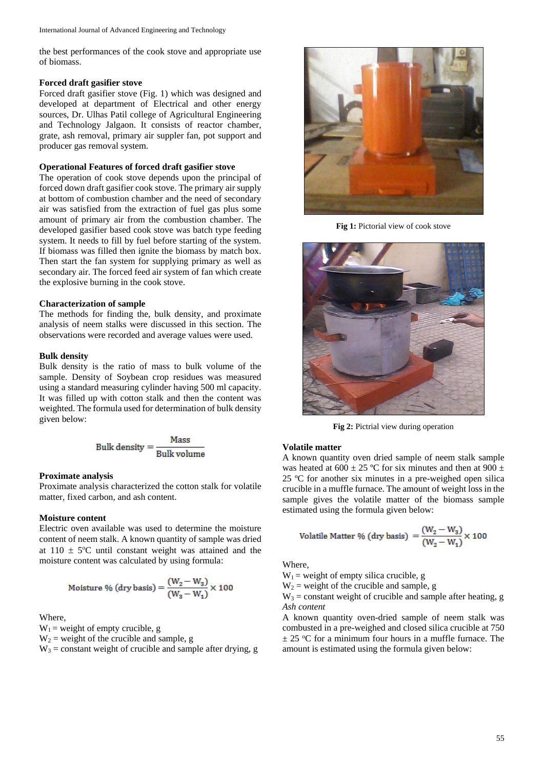the best performances of the cook stove and appropriate use of biomass.

#### **Forced draft gasifier stove**

Forced draft gasifier stove (Fig. 1) which was designed and developed at department of Electrical and other energy sources, Dr. Ulhas Patil college of Agricultural Engineering and Technology Jalgaon. It consists of reactor chamber, grate, ash removal, primary air suppler fan, pot support and producer gas removal system.

## **Operational Features of forced draft gasifier stove**

The operation of cook stove depends upon the principal of forced down draft gasifier cook stove. The primary air supply at bottom of combustion chamber and the need of secondary air was satisfied from the extraction of fuel gas plus some amount of primary air from the combustion chamber. The developed gasifier based cook stove was batch type feeding system. It needs to fill by fuel before starting of the system. If biomass was filled then ignite the biomass by match box. Then start the fan system for supplying primary as well as secondary air. The forced feed air system of fan which create the explosive burning in the cook stove.

## **Characterization of sample**

The methods for finding the, bulk density, and proximate analysis of neem stalks were discussed in this section. The observations were recorded and average values were used.

### **Bulk density**

Bulk density is the ratio of mass to bulk volume of the sample. Density of Soybean crop residues was measured using a standard measuring cylinder having 500 ml capacity. It was filled up with cotton stalk and then the content was weighted. The formula used for determination of bulk density given below:

Bulk density = 
$$
\frac{\text{Mass}}{\text{Bulk volume}}
$$

### **Proximate analysis**

Proximate analysis characterized the cotton stalk for volatile matter, fixed carbon, and ash content.

## **Moisture content**

Electric oven available was used to determine the moisture content of neem stalk. A known quantity of sample was dried at  $110 \pm 5$ °C until constant weight was attained and the moisture content was calculated by using formula:

Moisture % (dry basis) = 
$$
\frac{(W_2 - W_3)}{(W_3 - W_1)} \times 100
$$

Where,

 $W_1$  = weight of empty crucible, g

 $W_2$  = weight of the crucible and sample, g

 $W_3$  = constant weight of crucible and sample after drying, g



**Fig 1:** Pictorial view of cook stove



**Fig 2:** Pictrial view during operation

#### **Volatile matter**

A known quantity oven dried sample of neem stalk sample was heated at 600  $\pm$  25 °C for six minutes and then at 900  $\pm$ 25 ºC for another six minutes in a pre-weighed open silica crucible in a muffle furnace. The amount of weight loss in the sample gives the volatile matter of the biomass sample estimated using the formula given below:

$$
Volution\text{Value Matrix }\% \text{ (dry basis)} = \frac{(W_2 - W_3)}{(W_2 - W_1)} \times 100
$$

Where,

 $W_1$  = weight of empty silica crucible, g

 $W_2$  = weight of the crucible and sample, g

 $W_3$  = constant weight of crucible and sample after heating, g *Ash content*

A known quantity oven-dried sample of neem stalk was combusted in a pre-weighed and closed silica crucible at 750  $\pm$  25 °C for a minimum four hours in a muffle furnace. The amount is estimated using the formula given below: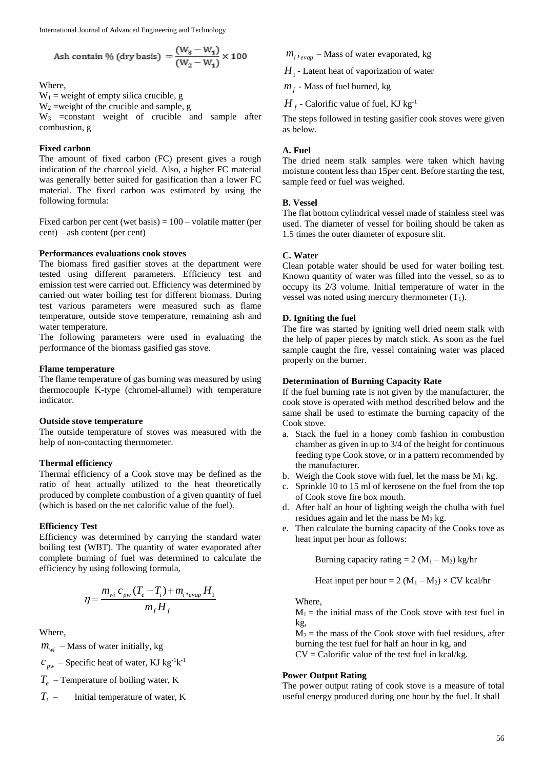$$
Ash contain % (dry basis) = \frac{(W_3 - W_1)}{(W_2 - W_1)} \times 100
$$

Where,

 $W_1$  = weight of empty silica crucible, g

 $W_2$  =weight of the crucible and sample, g

 $W_3$  =constant weight of crucible and sample after combustion, g

### **Fixed carbon**

The amount of fixed carbon (FC) present gives a rough indication of the charcoal yield. Also, a higher FC material was generally better suited for gasification than a lower FC material. The fixed carbon was estimated by using the following formula:

Fixed carbon per cent (wet basis)  $= 100 -$  volatile matter (per cent) – ash content (per cent)

## **Performances evaluations cook stoves**

The biomass fired gasifier stoves at the department were tested using different parameters. Efficiency test and emission test were carried out. Efficiency was determined by carried out water boiling test for different biomass. During test various parameters were measured such as flame temperature, outside stove temperature, remaining ash and water temperature.

The following parameters were used in evaluating the performance of the biomass gasified gas stove.

### **Flame temperature**

The flame temperature of gas burning was measured by using thermocouple K-type (chromel-allumel) with temperature indicator.

### **Outside stove temperature**

The outside temperature of stoves was measured with the help of non-contacting thermometer.

### **Thermal efficiency**

Thermal efficiency of a Cook stove may be defined as the ratio of heat actually utilized to the heat theoretically produced by complete combustion of a given quantity of fuel (which is based on the net calorific value of the fuel).

## **Efficiency Test**

Efficiency was determined by carrying the standard water boiling test (WBT). The quantity of water evaporated after complete burning of fuel was determined to calculate the efficiency by using following formula,

$$
\eta = \frac{m_{wi} c_{pw} (T_e - T_i) + m_{i\text{?}evap} H_1}{m_f H_f}
$$

Where,

 $m_{wi}$  – Mass of water initially, kg

 $c_{pw}$  – Specific heat of water, KJ kg<sup>-1</sup>k<sup>-1</sup>

*Te* – Temperature of boiling water, K

*Ti* – Initial temperature of water, K  $m_i$ ,  $_{evap}$  – Mass of water evaporated, kg

H<sub>1</sub> - Latent heat of vaporization of water

 $m_f$  - Mass of fuel burned, kg

 $H_{\overline{f}}$  - Calorific value of fuel, KJ kg<sup>-1</sup>

The steps followed in testing gasifier cook stoves were given as below.

## **A. Fuel**

The dried neem stalk samples were taken which having moisture content less than 15per cent. Before starting the test, sample feed or fuel was weighed.

### **B. Vessel**

The flat bottom cylindrical vessel made of stainless steel was used. The diameter of vessel for boiling should be taken as 1.5 times the outer diameter of exposure slit.

## **C. Water**

Clean potable water should be used for water boiling test. Known quantity of water was filled into the vessel, so as to occupy its 2/3 volume. Initial temperature of water in the vessel was noted using mercury thermometer  $(T_1)$ .

## **D. Igniting the fuel**

The fire was started by igniting well dried neem stalk with the help of paper pieces by match stick. As soon as the fuel sample caught the fire, vessel containing water was placed properly on the burner.

### **Determination of Burning Capacity Rate**

If the fuel burning rate is not given by the manufacturer, the cook stove is operated with method described below and the same shall be used to estimate the burning capacity of the Cook stove.

- a. Stack the fuel in a honey comb fashion in combustion chamber as given in up to 3/4 of the height for continuous feeding type Cook stove, or in a pattern recommended by the manufacturer.
- b. Weigh the Cook stove with fuel, let the mass be  $M_1$  kg.
- c. Sprinkle 10 to 15 ml of kerosene on the fuel from the top of Cook stove fire box mouth.
- d. After half an hour of lighting weigh the chulha with fuel residues again and let the mass be  $M_2$  kg.
- e. Then calculate the burning capacity of the Cooks tove as heat input per hour as follows:

Burning capacity rating  $= 2 (M_1 - M_2)$  kg/hr

Heat input per hour = 2 ( $M_1 - M_2$ ) × CV kcal/hr

Where,

 $M_1$  = the initial mass of the Cook stove with test fuel in kg,

 $M_2$  = the mass of the Cook stove with fuel residues, after burning the test fuel for half an hour in kg, and

 $CV = Calorific value of the test fuel in kcal/kg.$ 

### **Power Output Rating**

The power output rating of cook stove is a measure of total useful energy produced during one hour by the fuel. It shall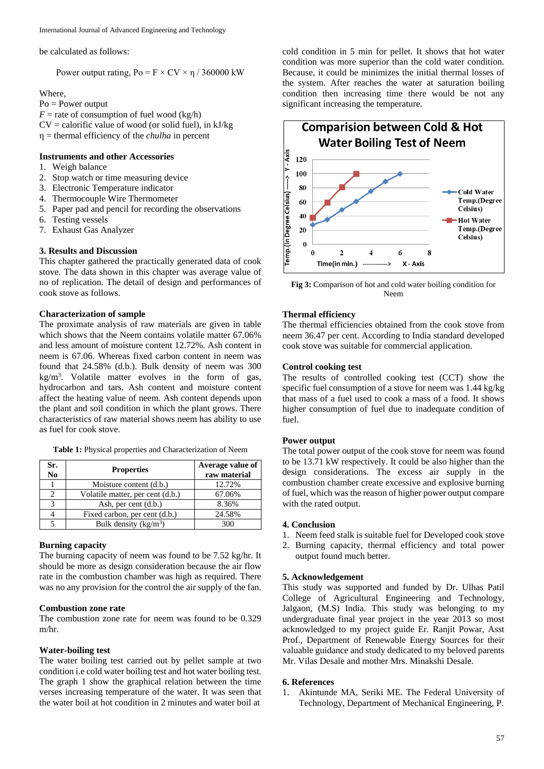be calculated as follows:

Power output rating,  $Po = F \times CV \times \eta / 360000$  kW

Where,

Po = Power output  $F =$  rate of consumption of fuel wood (kg/h)  $CV =$  calorific value of wood (or solid fuel), in kJ/kg η = thermal efficiency of the *chulha* in percent

## **Instruments and other Accessories**

- 1. Weigh balance
- 2. Stop watch or time measuring device
- 3. Electronic Temperature indicator
- 4. Thermocouple Wire Thermometer
- 5. Paper pad and pencil for recording the observations
- 6. Testing vessels
- 7. Exhaust Gas Analyzer

## **3. Results and Discussion**

This chapter gathered the practically generated data of cook stove. The data shown in this chapter was average value of no of replication. The detail of design and performances of cook stove as follows.

### **Characterization of sample**

The proximate analysis of raw materials are given in table which shows that the Neem contains volatile matter 67.06% and less amount of moisture content 12.72%. Ash content in neem is 67.06. Whereas fixed carbon content in neem was found that 24.58% (d.b.). Bulk density of neem was 300  $kg/m<sup>3</sup>$ . Volatile matter evolves in the form of gas, hydrocarbon and tars. Ash content and moisture content affect the heating value of neem. Ash content depends upon the plant and soil condition in which the plant grows. There characteristics of raw material shows neem has ability to use as fuel for cook stove.

**Table 1:** Physical properties and Characterization of Neem

| Sr.<br>N <sub>0</sub> | <b>Properties</b>                | Average value of<br>raw material |
|-----------------------|----------------------------------|----------------------------------|
|                       | Moisture content (d.b.)          | 12.72%                           |
|                       | Volatile matter, per cent (d.b.) | 67.06%                           |
| 2                     | Ash, per cent (d.b.)             | 8.36%                            |
|                       | Fixed carbon, per cent (d.b.)    | 24.58%                           |
|                       | Bulk density $(kg/m^3)$          | 300                              |

## **Burning capacity**

The burning capacity of neem was found to be 7.52 kg/hr. It should be more as design consideration because the air flow rate in the combustion chamber was high as required. There was no any provision for the control the air supply of the fan.

## **Combustion zone rate**

The combustion zone rate for neem was found to be 0.329 m/hr.

#### **Water-boiling test**

The water boiling test carried out by pellet sample at two condition i.e cold water boiling test and hot water boiling test. The graph 1 show the graphical relation between the time verses increasing temperature of the water. It was seen that the water boil at hot condition in 2 minutes and water boil at

cold condition in 5 min for pellet. It shows that hot water condition was more superior than the cold water condition. Because, it could be minimizes the initial thermal losses of the system. After reaches the water at saturation boiling condition then increasing time there would be not any significant increasing the temperature.



**Fig 3:** Comparison of hot and cold water boiling condition for Neem

## **Thermal efficiency**

The thermal efficiencies obtained from the cook stove from neem 36.47 per cent. According to India standard developed cook stove was suitable for commercial application.

## **Control cooking test**

The results of controlled cooking test (CCT) show the specific fuel consumption of a stove for neem was 1.44 kg/kg that mass of a fuel used to cook a mass of a food. It shows higher consumption of fuel due to inadequate condition of fuel.

### **Power output**

The total power output of the cook stove for neem was found to be 13.71 kW respectively. It could be also higher than the design considerations. The excess air supply in the combustion chamber create excessive and explosive burning of fuel, which was the reason of higher power output compare with the rated output.

#### **4. Conclusion**

- 1. Neem feed stalk is suitable fuel for Developed cook stove
- 2. Burning capacity, thermal efficiency and total power output found much better.

## **5. Acknowledgement**

This study was supported and funded by Dr. Ulhas Patil College of Agricultural Engineering and Technology, Jalgaon, (M.S) India. This study was belonging to my undergraduate final year project in the year 2013 so most acknowledged to my project guide Er. Ranjit Powar, Asst Prof., Department of Renewable Energy Sources for their valuable guidance and study dedicated to my beloved parents Mr. Vilas Desale and mother Mrs. Minakshi Desale.

#### **6. References**

1. Akintunde MA, Seriki ME. The Federal University of Technology, Department of Mechanical Engineering, P.